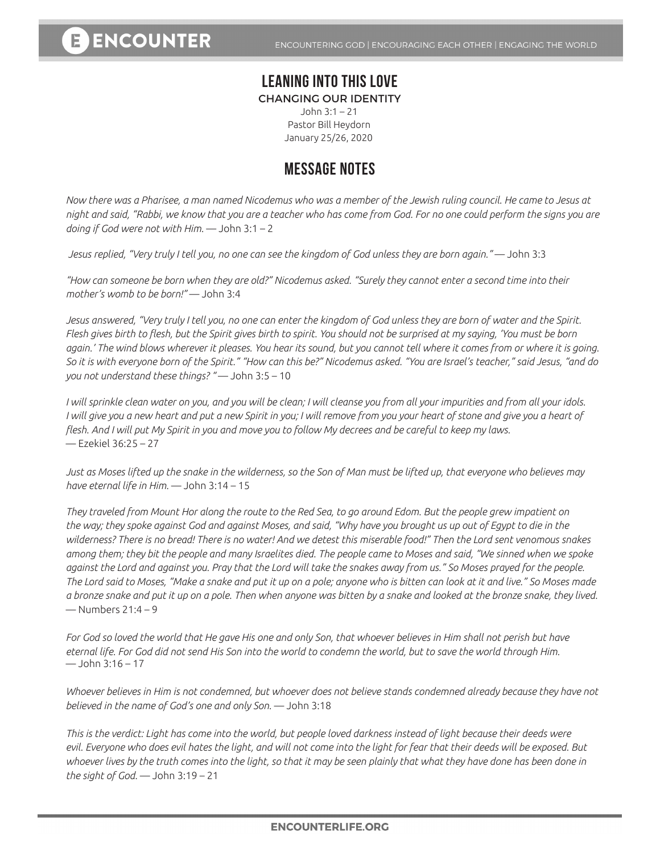## **LEANING INTO THIS LOVE**

CHANGING OUR IDENTITY

John 3:1 – 21 Pastor Bill Heydorn January 25/26, 2020

## **MESSAGE NOTES**

*Now there was a Pharisee, a man named Nicodemus who was a member of the Jewish ruling council. He came to Jesus at night and said, "Rabbi, we know that you are a teacher who has come from God. For no one could perform the signs you are doing if God were not with Him.* — John 3:1 – 2

 *Jesus replied, "Very truly I tell you, no one can see the kingdom of God unless they are born again."* — John 3:3

*"How can someone be born when they are old?" Nicodemus asked. "Surely they cannot enter a second time into their mother's womb to be born!"* — John 3:4

*Jesus answered, "Very truly I tell you, no one can enter the kingdom of God unless they are born of water and the Spirit. Flesh gives birth to flesh, but the Spirit gives birth to spirit. You should not be surprised at my saying, 'You must be born again.' The wind blows wherever it pleases. You hear its sound, but you cannot tell where it comes from or where it is going. So it is with everyone born of the Spirit." "How can this be?" Nicodemus asked. "You are Israel's teacher," said Jesus, "and do you not understand these things? "* — John 3:5 – 10

*I will sprinkle clean water on you, and you will be clean; I will cleanse you from all your impurities and from all your idols. I will give you a new heart and put a new Spirit in you; I will remove from you your heart of stone and give you a heart of flesh. And I will put My Spirit in you and move you to follow My decrees and be careful to keep my laws.*  — Ezekiel 36:25 – 27

*Just as Moses lifted up the snake in the wilderness, so the Son of Man must be lifted up, that everyone who believes may have eternal life in Him.* — John 3:14 – 15

*They traveled from Mount Hor along the route to the Red Sea, to go around Edom. But the people grew impatient on the way; they spoke against God and against Moses, and said, "Why have you brought us up out of Egypt to die in the wilderness? There is no bread! There is no water! And we detest this miserable food!" Then the Lord sent venomous snakes among them; they bit the people and many Israelites died. The people came to Moses and said, "We sinned when we spoke against the Lord and against you. Pray that the Lord will take the snakes away from us." So Moses prayed for the people. The Lord said to Moses, "Make a snake and put it up on a pole; anyone who is bitten can look at it and live." So Moses made a bronze snake and put it up on a pole. Then when anyone was bitten by a snake and looked at the bronze snake, they lived.*   $-$  Numbers 21:4 – 9

For God so loved the world that He gave His one and only Son, that whoever believes in Him shall not perish but have *eternal life. For God did not send His Son into the world to condemn the world, but to save the world through Him.*   $-$  John 3:16 – 17

Whoever believes in Him is not condemned, but whoever does not believe stands condemned already because they have not *believed in the name of God's one and only Son.* — John 3:18

*This is the verdict: Light has come into the world, but people loved darkness instead of light because their deeds were evil. Everyone who does evil hates the light, and will not come into the light for fear that their deeds will be exposed. But whoever lives by the truth comes into the light, so that it may be seen plainly that what they have done has been done in the sight of God.* — John 3:19 – 21